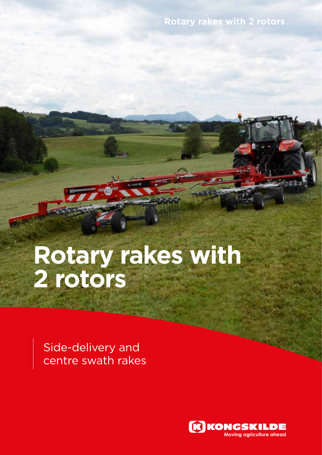### **Rotary rakes with 2 rotors**

# **Rotary rakes with 2 rotors**

Side-delivery and centre swath rakes

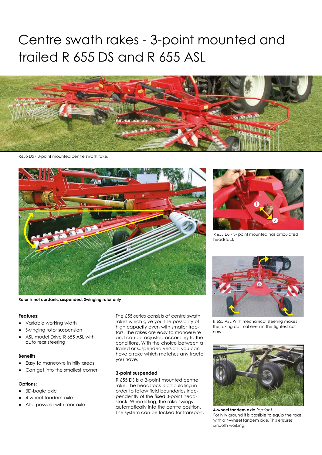## Centre swath rakes - 3-point mounted and trailed R 655 DS and R 655 ASL



R655 DS - 3-point mounted centre swath rake.



**Rotor is not cardanic suspended. Swinging rotor only**

#### **Features:**

- Variable working width
- Swinging rotor suspension
- ASL model Drive R 655 ASL with auto rear steering

#### **Benefits**

- Easy to maneovre in hilly areas
- Can get into the smallest corner

#### **Options:**

- 3D-bogie axle
- 4-wheel tandem axle
- Also possible with rear axle

The 655-series consists of centre swath rakes which give you the possibility of high capacity even with smaller tractors. The rakes are easy to manoeuvre and can be adjusted according to the conditions. With the choice between a trailed or suspended version, you can have a rake which matches any tractor you have.

#### **3-point suspended**

R 655 DS is a 3-point mounted centre rake. The headstock is articulating in order to follow field boundaries independently of the fixed 3-point headstock. When lifting, the rake swings automatically into the centre position. The system can be locked for transport.



R 655 DS - 3- point mounted has articulated headstock



R 655 ASL With mechanical steering makes the raking optimal even in the tightest corners



**4-wheel tandem axle** *(option)* For hilly ground it is possible to equip the rake with a 4-wheel tandem axle. This ensures smooth working.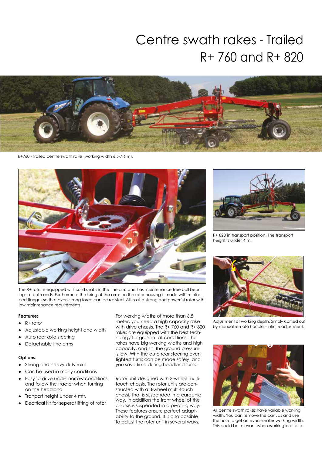## Centre swath rakes - Trailed R+ 760 and R+ 820



R+760 - trailed centre swath rake (working width 6.5-7.6 m).



The R+ rotor is equipped with solid shafts in the tine arm and has maintenance-free ball bearings at both ends. Furthermore the fixing of the arms on the rotor housing is made with reinforced flanges so that even strong force can be resisted. All in all a strong and powerful rotor with low maintenance requirements.

#### **Features:**

- R+ rotor
- Adjustable working height and width
- Auto rear axle steering
- Detachable tine arms

#### **Options:**

- Strong and heavy duty rake
- Can be used in many conditions
- Easy to drive under narrow conditions, and follow the tractor when turning on the headland
- Tranport height under 4 mtr.
- Electrical kit for seperat lifting of rotor

For working widths of more than 6.5 meter, you need a high capacity rake with drive chassis. The R+ 760 and R+ 820 rakes are equipped with the best technology for grass in all conditions. The rakes have big working widths and high capacity, and still the ground pressure is low. With the auto rear steering even tightest turns can be made safely, and you save time during headland turns.

Rotor unit designed with 3-wheel multitouch chassis. The rotor units are constructed with a 3-wheel multi-touch chassis that is suspended in a cardanic way. In addition the front wheel of the chassis is suspended in a pivoting way. These features ensure perfect adaptability to the ground. It is also possible to adjust the rotor unit in several ways.



R+ 820 in transport position. The transport height is under 4 m.



Adjustment of working depth. Simply carried out by manual remote handle – infinite adjustment.



All centre swath rakes have variable working width. You can remove the canvas and use the hole to get an even smaller working width. This could be relevant when working in alfalfa.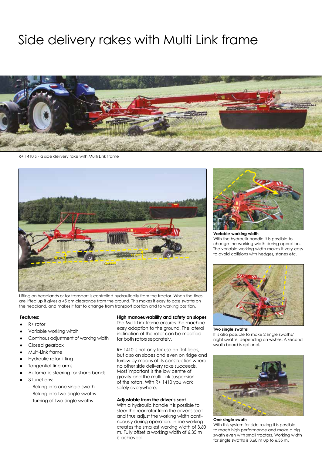### Side delivery rakes with Multi Link frame

R+ 1410 S - a side delivery rake with Multi Link frame



Lifting on headlands or for transport is controlled hydraulically from the tractor. When the tines are lifted up it gives a 45 cm clearance from the ground. This makes it easy to pass swaths on the headland, and makes it fast to change from transport postion and to working position.

#### **Features:**

- R+ rotor
- Variable working witdh
- Continous adjustment of working width
- Closed gearbox
- Multi-Link frame
- Hydraulic rotor lifting
- Tangential tine arms
- Automatic steering for sharp bends
- 3 functions:
	- Raking into one single swath
	- Raking into two single swaths
	- Turning of two single swaths

#### **High manoeuvrability and safety on slopes**

The Multi Link frame ensures the machine easy adaption to the ground. The lateral inclination of the rotor can be modified for both rotors separately.

R+ 1410 is not only for use on flat fields, but also on slopes and even on ridge and furrow by means of its construction where no other side delivery rake succeeds. Most important is the low centre of gravity and the multi Link suspension of the rotors. With R+ 1410 you work safely everywhere.

#### **Adjustable from the driver's seat**

With a hydraulic handle it is possible to steer the rear rotor from the driver's seat and thus adjust the working width continuously during operation. In line working creates the smallest working width of 3.60 m. Fully offset a working width of 6.35 m is achieved.



**Variable working width** With the hydraulik handle it is possible to change the working width during operation. The variable working width makes it very easy to avoid collisions with hedges, stones etc.



**Two single swaths** It is also possible to make 2 single swaths/ night swaths, depending on wishes. A second swath board is optional.



**One single swath**

With this system for side raking it is possible to reach high performance and make a big swath even with small tractors. Working width for single swaths is 3.60 m up to 6.35 m.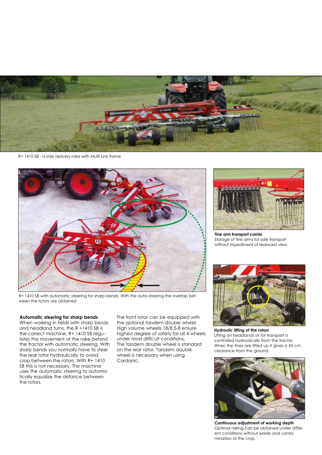

R+ 1410 SB - a side delivery rake with Multi Link frame



R+ 1410 SB with automatic steering for sharp bends. With the auto-steering the overlap between the rotors are obtained

#### **Automatic steering for sharp bends**

When working in fields with sharp bends and headland turns, the R +1410 SB is the correct machine. R+ 1410 SB regulates the movement of the rake behind the tractor with automatic steering. With sharp bends you normally have to steer the rear rotor hydraulically to avoid crop between the rotors. With R+ 1410 SB this is not necessary. The machine uses the automatic steering to automatically equalize the distance between the rotors.

The front rotor can be equipped with the optional tandem double wheel. High volume wheels 18/8.5-8 ensure highest degree of safety for all 4 wheels under most difficult conditions. The tandem double wheel is standard on the rear rotor. Tandem double wheel is necessary when using Cardanic.



**Tine arm transport carrier** Storage of tine arms for safe transport without impediment of rearward view.



**Hydraulic lifting of the rotors** Lifting on headlands or for transport is controlled hydraulically from the tractor. When the tines are lifted up it gives a 45 cm clearance from the ground.



**Continuous adjustment of working depth** Optimal raking can be obtained under different conditions without waste and contamination of the crop.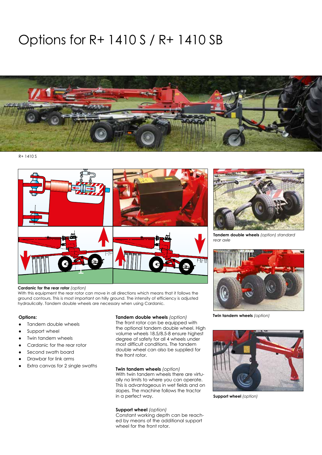## Options for R+ 1410 S / R+ 1410 SB



R+ 1410 S



#### **Cardanic for the rear rotor** *(option)*

With this equipment the rear rotor can move in all directions which means that it follows the ground contours. This is most important on hilly ground. The intensity of efficiency is adjusted hydraulically. Tandem double wheels are necessary when using Cardanic.

- Tandem double wheels
- Support wheel
- Twin tandem wheels
- Cardanic for the rear rotor
- Second swath board
- Drawbar for link arms
- Extra canvas for 2 single swaths

**Twin tandem wheels** *(option)* **Options: Tandem double wheels** *(option)*

The front rotor can be equipped with the optional tandem double wheel. High volume wheels 18.5/8.5-8 ensure highest degree of safety for all 4 wheels under most difficult conditions. The tandem double wheel can also be supplied for the front rotor.

#### **Twin tandem wheels** *(option)*

With twin tandem wheels there are virtually no limits to where you can operate. This is advantageous in wet fields and on slopes. The machine follows the tractor in a perfect way.

#### **Support wheel** *(option)*

Constant working depth can be reached by means of the additional support wheel for the front rotor.



**Tandem double wheels** *(option) standard rear axle*





**Support wheel** *(option)*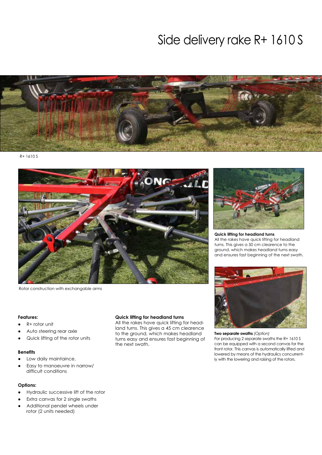### Side delivery rake R+ 1610 S



R+ 1610 S



Rotor construction with exchangable arms

#### **Features:**

- R+ rotor unit
- Auto steering rear axle
- Quick lifting of the rotor units

#### **Benefits**

- Low daily maintaince,
- Easy to manoeuvre in narrow/ difficult conditions

#### **Options:**

- Hydraulic successive lift of the rotor
- Extra canvas for 2 single swaths
- Additional pendel wheels under rotor (2 units needed)

#### **Quick lifting for headland turns**

All the rakes have quick lifting for headland turns. This gives a 45 cm clearence to the ground, which makes headland turns easy and ensures fast beginning of the next swath.



**Quick lifting for headland turns** All the rakes have quick lifting for headland turns. This gives a 50 cm clearence to the ground, which makes headland turns easy and ensures fast beginning of the next swath.



**Two separate swaths** *(Option)* For producing 2 separate swaths the R+ 1610 S can be equipped with a second canvas for the front rotor. This canvas is automatically lifted and lowered by means of the hydraulics concurrently with the lowering and raising of the rotors.